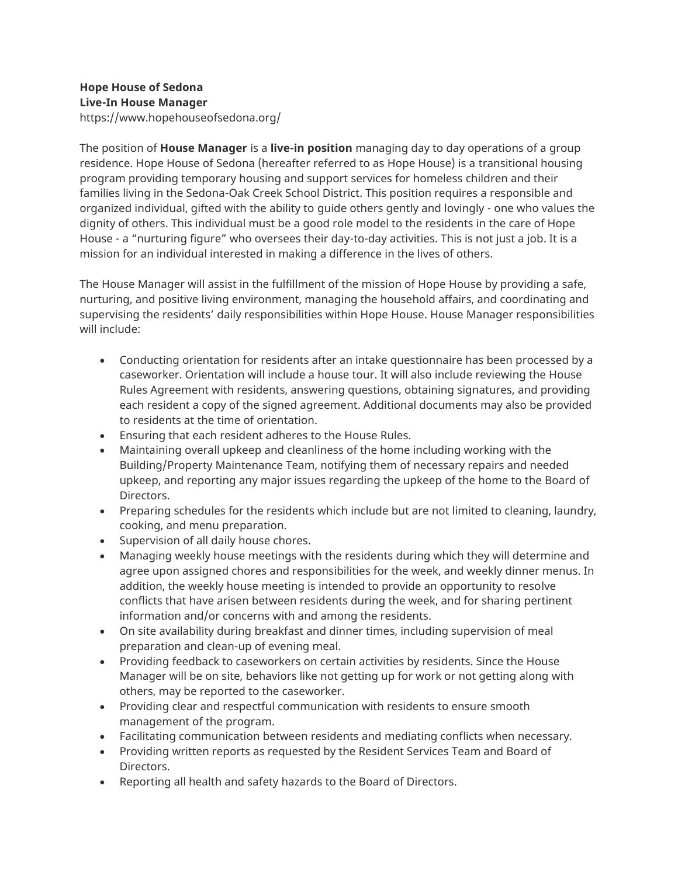## **Hope House of Sedona Live-In House Manager** https://www.hopehouseofsedona.org/

The position of **House Manager** is a **live-in position** managing day to day operations of a group residence. Hope House of Sedona (hereafter referred to as Hope House) is a transitional housing program providing temporary housing and support services for homeless children and their families living in the Sedona-Oak Creek School District. This position requires a responsible and organized individual, gifted with the ability to guide others gently and lovingly - one who values the dignity of others. This individual must be a good role model to the residents in the care of Hope House - a "nurturing figure" who oversees their day-to-day activities. This is not just a job. It is a mission for an individual interested in making a difference in the lives of others.

The House Manager will assist in the fulfillment of the mission of Hope House by providing a safe, nurturing, and positive living environment, managing the household affairs, and coordinating and supervising the residents' daily responsibilities within Hope House. House Manager responsibilities will include:

- Conducting orientation for residents after an intake questionnaire has been processed by a caseworker. Orientation will include a house tour. It will also include reviewing the House Rules Agreement with residents, answering questions, obtaining signatures, and providing each resident a copy of the signed agreement. Additional documents may also be provided to residents at the time of orientation.
- Ensuring that each resident adheres to the House Rules.
- Maintaining overall upkeep and cleanliness of the home including working with the Building/Property Maintenance Team, notifying them of necessary repairs and needed upkeep, and reporting any major issues regarding the upkeep of the home to the Board of Directors.
- Preparing schedules for the residents which include but are not limited to cleaning, laundry, cooking, and menu preparation.
- Supervision of all daily house chores.
- Managing weekly house meetings with the residents during which they will determine and agree upon assigned chores and responsibilities for the week, and weekly dinner menus. In addition, the weekly house meeting is intended to provide an opportunity to resolve conflicts that have arisen between residents during the week, and for sharing pertinent information and/or concerns with and among the residents.
- On site availability during breakfast and dinner times, including supervision of meal preparation and clean-up of evening meal.
- Providing feedback to caseworkers on certain activities by residents. Since the House Manager will be on site, behaviors like not getting up for work or not getting along with others, may be reported to the caseworker.
- Providing clear and respectful communication with residents to ensure smooth management of the program.
- Facilitating communication between residents and mediating conflicts when necessary.
- Providing written reports as requested by the Resident Services Team and Board of Directors.
- Reporting all health and safety hazards to the Board of Directors.